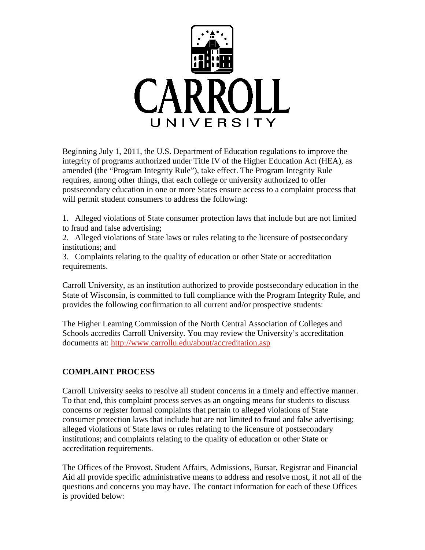

Beginning July 1, 2011, the U.S. Department of Education regulations to improve the integrity of programs authorized under Title IV of the Higher Education Act (HEA), as amended (the "Program Integrity Rule"), take effect. The Program Integrity Rule requires, among other things, that each college or university authorized to offer postsecondary education in one or more States ensure access to a complaint process that will permit student consumers to address the following:

1. Alleged violations of State consumer protection laws that include but are not limited to fraud and false advertising;

2. Alleged violations of State laws or rules relating to the licensure of postsecondary institutions; and

3. Complaints relating to the quality of education or other State or accreditation requirements.

Carroll University, as an institution authorized to provide postsecondary education in the State of Wisconsin, is committed to full compliance with the Program Integrity Rule, and provides the following confirmation to all current and/or prospective students:

The Higher Learning Commission of the North Central Association of Colleges and Schools accredits Carroll University. You may review the University's accreditation documents at:<http://www.carrollu.edu/about/accreditation.asp>

## **COMPLAINT PROCESS**

Carroll University seeks to resolve all student concerns in a timely and effective manner. To that end, this complaint process serves as an ongoing means for students to discuss concerns or register formal complaints that pertain to alleged violations of State consumer protection laws that include but are not limited to fraud and false advertising; alleged violations of State laws or rules relating to the licensure of postsecondary institutions; and complaints relating to the quality of education or other State or accreditation requirements.

The Offices of the Provost, Student Affairs, Admissions, Bursar, Registrar and Financial Aid all provide specific administrative means to address and resolve most, if not all of the questions and concerns you may have. The contact information for each of these Offices is provided below: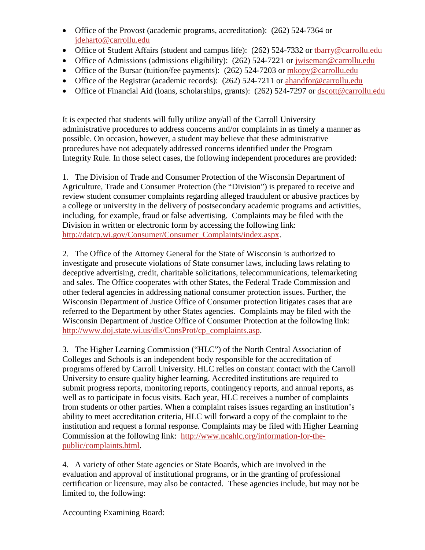- Office of the Provost (academic programs, accreditation): (262) 524-7364 or [jdeharto@carrollu.edu](mailto:jdeharto@carrollu.edu)
- Office of Student Affairs (student and campus life): (262) 524-7332 or [tbarry@carrollu.edu](mailto:tbarry@carrollu.edu)
- Office of Admissions (admissions eligibility): (262) 524-7221 or jwiseman@carrollu.edu
- Office of the Bursar (tuition/fee payments): (262) 524-7203 or [mkopy@carrollu.edu](mailto:mkopy@carrollu.edu)
- Office of the Registrar (academic records): (262) 524-7211 or ahandfor@carrollu.edu
- Office of Financial Aid (loans, scholarships, grants): (262) 524-7297 or [dscott@carrollu.edu](mailto:dscott@carrollu.edu)

It is expected that students will fully utilize any/all of the Carroll University administrative procedures to address concerns and/or complaints in as timely a manner as possible. On occasion, however, a student may believe that these administrative procedures have not adequately addressed concerns identified under the Program Integrity Rule. In those select cases, the following independent procedures are provided:

1. The Division of Trade and Consumer Protection of the Wisconsin Department of Agriculture, Trade and Consumer Protection (the "Division") is prepared to receive and review student consumer complaints regarding alleged fraudulent or abusive practices by a college or university in the delivery of postsecondary academic programs and activities, including, for example, fraud or false advertising. Complaints may be filed with the Division in written or electronic form by accessing the following link: [http://datcp.wi.gov/Consumer/Consumer\\_Complaints/index.aspx.](http://datcp.wi.gov/Consumer/Consumer_Complaints/index.aspx)

2. The Office of the Attorney General for the State of Wisconsin is authorized to investigate and prosecute violations of State consumer laws, including laws relating to deceptive advertising, credit, charitable solicitations, telecommunications, telemarketing and sales. The Office cooperates with other States, the Federal Trade Commission and other federal agencies in addressing national consumer protection issues. Further, the Wisconsin Department of Justice Office of Consumer protection litigates cases that are referred to the Department by other States agencies. Complaints may be filed with the Wisconsin Department of Justice Office of Consumer Protection at the following link: [http://www.doj.state.wi.us/dls/ConsProt/cp\\_complaints.asp.](http://www.doj.state.wi.us/dls/ConsProt/cp_complaints.asp)

3. The Higher Learning Commission ("HLC") of the North Central Association of Colleges and Schools is an independent body responsible for the accreditation of programs offered by Carroll University. HLC relies on constant contact with the Carroll University to ensure quality higher learning. Accredited institutions are required to submit progress reports, monitoring reports, contingency reports, and annual reports, as well as to participate in focus visits. Each year, HLC receives a number of complaints from students or other parties. When a complaint raises issues regarding an institution's ability to meet accreditation criteria, HLC will forward a copy of the complaint to the institution and request a formal response. Complaints may be filed with Higher Learning Commission at the following link: [http://www.ncahlc.org/information-for-the](http://www.ncahlc.org/information-for-the-public/complaints.html)[public/complaints.html.](http://www.ncahlc.org/information-for-the-public/complaints.html)

4. A variety of other State agencies or State Boards, which are involved in the evaluation and approval of institutional programs, or in the granting of professional certification or licensure, may also be contacted. These agencies include, but may not be limited to, the following:

Accounting Examining Board: